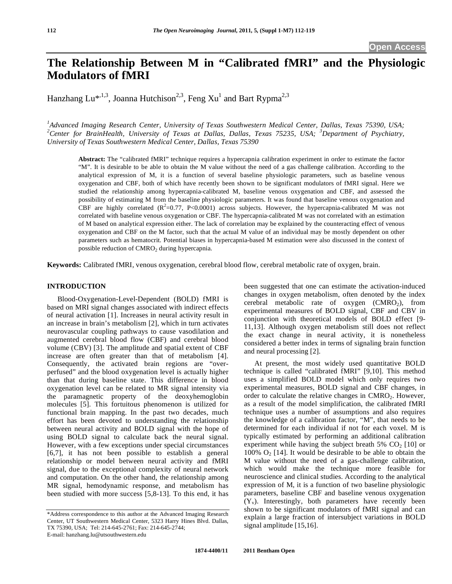# **The Relationship Between M in "Calibrated fMRI" and the Physiologic Modulators of fMRI**

Hanzhang Lu\*<sup>,1,3</sup>, Joanna Hutchison<sup>2,3</sup>, Feng Xu<sup>1</sup> and Bart Rypma<sup>2,3</sup>

*1 Advanced Imaging Research Center, University of Texas Southwestern Medical Center, Dallas, Texas 75390, USA; 2 Center for BrainHealth, University of Texas at Dallas, Dallas, Texas 75235, USA; <sup>3</sup> Department of Psychiatry, University of Texas Southwestern Medical Center, Dallas, Texas 75390* 

**Abstract:** The "calibrated fMRI" technique requires a hypercapnia calibration experiment in order to estimate the factor "M". It is desirable to be able to obtain the M value without the need of a gas challenge calibration. According to the analytical expression of M, it is a function of several baseline physiologic parameters, such as baseline venous oxygenation and CBF, both of which have recently been shown to be significant modulators of fMRI signal. Here we studied the relationship among hypercapnia-calibrated M, baseline venous oxygenation and CBF, and assessed the possibility of estimating M from the baseline physiologic parameters. It was found that baseline venous oxygenation and CBF are highly correlated  $(R^2=0.77, P<0.0001)$  across subjects. However, the hypercapnia-calibrated M was not correlated with baseline venous oxygenation or CBF. The hypercapnia-calibrated M was not correlated with an estimation of M based on analytical expression either. The lack of correlation may be explained by the counteracting effect of venous oxygenation and CBF on the M factor, such that the actual M value of an individual may be mostly dependent on other parameters such as hematocrit. Potential biases in hypercapnia-based M estimation were also discussed in the context of possible reduction of  $CMRO<sub>2</sub>$  during hypercapnia.

**Keywords:** Calibrated fMRI, venous oxygenation, cerebral blood flow, cerebral metabolic rate of oxygen, brain.

## **INTRODUCTION**

 Blood-Oxygenation-Level-Dependent (BOLD) fMRI is based on MRI signal changes associated with indirect effects of neural activation [1]. Increases in neural activity result in an increase in brain's metabolism [2], which in turn activates neurovascular coupling pathways to cause vasodilation and augmented cerebral blood flow (CBF) and cerebral blood volume (CBV) [3]. The amplitude and spatial extent of CBF increase are often greater than that of metabolism [4]. Consequently, the activated brain regions are "overperfused" and the blood oxygenation level is actually higher than that during baseline state. This difference in blood oxygenation level can be related to MR signal intensity via the paramagnetic property of the deoxyhemoglobin molecules [5]. This fortuitous phenomenon is utilized for functional brain mapping. In the past two decades, much effort has been devoted to understanding the relationship between neural activity and BOLD signal with the hope of using BOLD signal to calculate back the neural signal. However, with a few exceptions under special circumstances [6,7], it has not been possible to establish a general relationship or model between neural activity and fMRI signal, due to the exceptional complexity of neural network and computation. On the other hand, the relationship among MR signal, hemodynamic response, and metabolism has been studied with more success [5,8-13]. To this end, it has

been suggested that one can estimate the activation-induced changes in oxygen metabolism, often denoted by the index cerebral metabolic rate of  $oxygen$  (CMRO<sub>2</sub>), from experimental measures of BOLD signal, CBF and CBV in conjunction with theoretical models of BOLD effect [9- 11,13]. Although oxygen metabolism still does not reflect the exact change in neural activity, it is nonetheless considered a better index in terms of signaling brain function and neural processing [2].

 At present, the most widely used quantitative BOLD technique is called "calibrated fMRI" [9,10]. This method uses a simplified BOLD model which only requires two experimental measures, BOLD signal and CBF changes, in order to calculate the relative changes in  $CMRO<sub>2</sub>$ . However, as a result of the model simplification, the calibrated fMRI technique uses a number of assumptions and also requires the knowledge of a calibration factor, "M", that needs to be determined for each individual if not for each voxel. M is typically estimated by performing an additional calibration experiment while having the subject breath  $5\%$  CO<sub>2</sub> [10] or 100%  $O_2$  [14]. It would be desirable to be able to obtain the M value without the need of a gas-challenge calibration, which would make the technique more feasible for neuroscience and clinical studies. According to the analytical expression of M, it is a function of two baseline physiologic parameters, baseline CBF and baseline venous oxygenation  $(Y_v)$ . Interestingly, both parameters have recently been shown to be significant modulators of fMRI signal and can explain a large fraction of intersubject variations in BOLD signal amplitude [15,16].

<sup>\*</sup>Address correspondence to this author at the Advanced Imaging Research Center, UT Southwestern Medical Center, 5323 Harry Hines Blvd. Dallas, TX 75390, USA; Tel: 214-645-2761; Fax: 214-645-2744; E-mail: hanzhang.lu@utsouthwestern.edu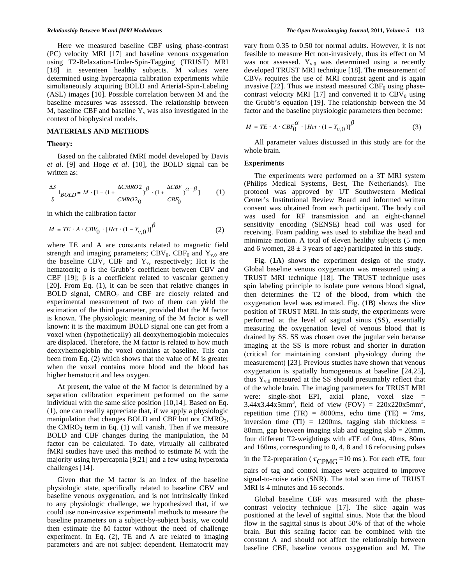Here we measured baseline CBF using phase-contrast (PC) velocity MRI [17] and baseline venous oxygenation using T2-Relaxation-Under-Spin-Tagging (TRUST) MRI [18] in seventeen healthy subjects. M values were determined using hypercapnia calibration experiments while simultaneously acquiring BOLD and Arterial-Spin-Labeling (ASL) images [10]. Possible correlation between M and the baseline measures was assessed. The relationship between M, baseline CBF and baseline  $Y_{v}$  was also investigated in the context of biophysical models.

#### **MATERIALS AND METHODS**

#### **Theory:**

 Based on the calibrated fMRI model developed by Davis *et al*. [9] and Hoge *et al*. [10], the BOLD signal can be written as:

$$
\frac{\Delta S}{S}\mid_{BOLD}=M\cdot[1-(1+\frac{\Delta CMRO2}{CMRO2_0})^{\beta}\cdot(1+\frac{\Delta CBF}{CBF_0})^{\alpha-\beta}] \hspace{1cm} (1)
$$

in which the calibration factor

$$
M = TE \cdot A \cdot CBV_0 \cdot [Hct \cdot (1 - Y_{v,0})]^{\beta}
$$
 (2)

where TE and A are constants related to magnetic field strength and imaging parameters;  $CBV_0$ ,  $CBF_0$  and  $Y_{v,0}$  are the baseline CBV, CBF and  $Y_v$ , respectively; Hct is the hematocrit;  $\alpha$  is the Grubb's coefficient between CBV and CBF [19];  $\beta$  is a coefficient related to vascular geometry [20]. From Eq. (1), it can be seen that relative changes in BOLD signal,  $CMRO<sub>2</sub>$  and CBF are closely related and experimental measurement of two of them can yield the estimation of the third parameter, provided that the M factor is known. The physiologic meaning of the M factor is well known: it is the maximum BOLD signal one can get from a voxel when (hypothetically) all deoxyhemoglobin molecules are displaced. Therefore, the M factor is related to how much deoxyhemoglobin the voxel contains at baseline. This can been from Eq. (2) which shows that the value of M is greater when the voxel contains more blood and the blood has higher hematocrit and less oxygen.

 At present, the value of the M factor is determined by a separation calibration experiment performed on the same individual with the same slice position [10,14]. Based on Eq. (1), one can readily appreciate that, if we apply a physiologic manipulation that changes BOLD and CBF but not CMRO<sub>2</sub>, the CMRO<sub>2</sub> term in Eq.  $(1)$  will vanish. Then if we measure BOLD and CBF changes during the manipulation, the M factor can be calculated. To date, virtually all calibrated fMRI studies have used this method to estimate M with the majority using hypercapnia [9,21] and a few using hyperoxia challenges [14].

 Given that the M factor is an index of the baseline physiologic state, specifically related to baseline CBV and baseline venous oxygenation, and is not intrinsically linked to any physiologic challenge, we hypothesized that, if we could use non-invasive experimental methods to measure the baseline parameters on a subject-by-subject basis, we could then estimate the M factor without the need of challenge experiment. In Eq. (2), TE and A are related to imaging parameters and are not subject dependent. Hematocrit may

vary from 0.35 to 0.50 for normal adults. However, it is not feasible to measure Hct non-invasively, thus its effect on M was not assessed.  $Y_{v,0}$  was determined using a recently developed TRUST MRI technique [18]. The measurement of  $CBV<sub>0</sub>$  requires the use of MRI contrast agent and is again invasive [22]. Thus we instead measured  $CBF_0$  using phasecontrast velocity MRI [17] and converted it to  $CBV_0$  using the Grubb's equation [19]. The relationship between the M factor and the baseline physiologic parameters then become:

$$
M = TE \cdot A \cdot CBF_0^{\alpha} \cdot [Hct \cdot (1 - Y_{\nu,0})]^{\beta}
$$
 (3)

 All parameter values discussed in this study are for the whole brain.

## **Experiments**

 The experiments were performed on a 3T MRI system (Philips Medical Systems, Best, The Netherlands). The protocol was approved by UT Southwestern Medical Center's Institutional Review Board and informed written consent was obtained from each participant. The body coil was used for RF transmission and an eight-channel sensitivity encoding (SENSE) head coil was used for receiving. Foam padding was used to stabilize the head and minimize motion. A total of eleven healthy subjects (5 men and 6 women,  $28 \pm 3$  years of age) participated in this study.

 Fig. (**1A**) shows the experiment design of the study. Global baseline venous oxygenation was measured using a TRUST MRI technique [18]. The TRUST technique uses spin labeling principle to isolate pure venous blood signal, then determines the T2 of the blood, from which the oxygenation level was estimated. Fig. (**1B**) shows the slice position of TRUST MRI. In this study, the experiments were performed at the level of sagittal sinus (SS), essentially measuring the oxygenation level of venous blood that is drained by SS. SS was chosen over the jugular vein because imaging at the SS is more robust and shorter in duration (critical for maintaining constant physiology during the measurement) [23]. Previous studies have shown that venous oxygenation is spatially homogeneous at baseline [24,25], thus  $Y_{v,0}$  measured at the SS should presumably reflect that of the whole brain. The imaging parameters for TRUST MRI were: single-shot EPI, axial plane, voxel size =  $3.44x3.44x5mm^3$ , field of view (FOV) =  $220x220x5mm^3$ , repetition time  $(TR) = 8000$ ms, echo time  $(TE) = 7$ ms, inversion time  $(TI) = 1200$ ms, tagging slab thickness = 80mm, gap between imaging slab and tagging slab  $= 20$ mm, four different T2-weightings with eTE of 0ms, 40ms, 80ms and 160ms, corresponding to 0, 4, 8 and 16 refocusing pulses in the T2-preparation ( $\tau_{\text{CPMG}}$ =10 ms). For each eTE, four pairs of tag and control images were acquired to improve

signal-to-noise ratio (SNR). The total scan time of TRUST MRI is 4 minutes and 16 seconds.

 Global baseline CBF was measured with the phasecontrast velocity technique [17]. The slice again was positioned at the level of sagittal sinus. Note that the blood flow in the sagittal sinus is about 50% of that of the whole brain. But this scaling factor can be combined with the constant A and should not affect the relationship between baseline CBF, baseline venous oxygenation and M. The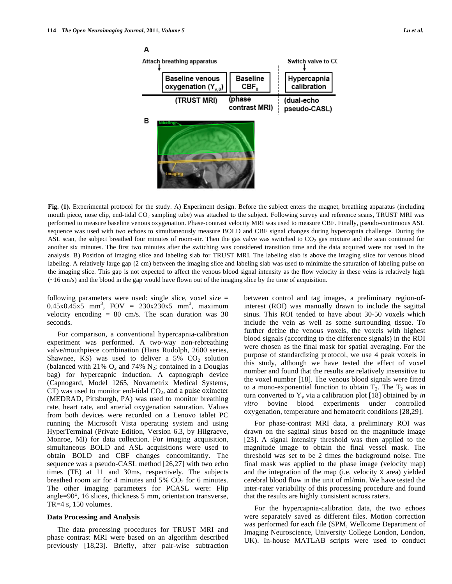

**Fig. (1).** Experimental protocol for the study. A) Experiment design. Before the subject enters the magnet, breathing apparatus (including mouth piece, nose clip, end-tidal CO2 sampling tube) was attached to the subject. Following survey and reference scans, TRUST MRI was performed to measure baseline venous oxygenation. Phase-contrast velocity MRI was used to measure CBF. Finally, pseudo-continuous ASL sequence was used with two echoes to simultaneously measure BOLD and CBF signal changes during hypercapnia challenge. During the ASL scan, the subject breathed four minutes of room-air. Then the gas valve was switched to  $CO<sub>2</sub>$  gas mixture and the scan continued for another six minutes. The first two minutes after the switching was considered transition time and the data acquired were not used in the analysis. B) Position of imaging slice and labeling slab for TRUST MRI. The labeling slab is above the imaging slice for venous blood labeling. A relatively large gap (2 cm) between the imaging slice and labeling slab was used to minimize the saturation of labeling pulse on the imaging slice. This gap is not expected to affect the venous blood signal intensity as the flow velocity in these veins is relatively high (~16 cm/s) and the blood in the gap would have flown out of the imaging slice by the time of acquisition.

following parameters were used: single slice, voxel size =  $0.45x0.45x5$  mm<sup>3</sup>, FOV = 230x230x5 mm<sup>3</sup>, maximum velocity encoding  $= 80$  cm/s. The scan duration was 30 seconds.

 For comparison, a conventional hypercapnia-calibration experiment was performed. A two-way non-rebreathing valve/mouthpiece combination (Hans Rudolph, 2600 series, Shawnee, KS) was used to deliver a  $5\%$  CO<sub>2</sub> solution (balanced with 21%  $O_2$  and 74%  $N_2$ ; contained in a Douglas bag) for hypercapnic induction. A capnograph device (Capnogard, Model 1265, Novametrix Medical Systems, CT) was used to monitor end-tidal  $CO<sub>2</sub>$ , and a pulse oximeter (MEDRAD, Pittsburgh, PA) was used to monitor breathing rate, heart rate, and arterial oxygenation saturation. Values from both devices were recorded on a Lenovo tablet PC running the Microsoft Vista operating system and using HyperTerminal (Private Edition, Version 6.3, by Hilgraeve, Monroe, MI) for data collection. For imaging acquisition, simultaneous BOLD and ASL acquisitions were used to obtain BOLD and CBF changes concomitantly. The sequence was a pseudo-CASL method [26,27] with two echo times (TE) at 11 and 30ms, respectively. The subjects breathed room air for 4 minutes and  $5\%$  CO<sub>2</sub> for 6 minutes. The other imaging parameters for PCASL were: Flip angle=90°, 16 slices, thickness 5 mm, orientation transverse, TR=4 s, 150 volumes.

#### **Data Processing and Analysis**

 The data processing procedures for TRUST MRI and phase contrast MRI were based on an algorithm described previously [18,23]. Briefly, after pair-wise subtraction between control and tag images, a preliminary region-ofinterest (ROI) was manually drawn to include the sagittal sinus. This ROI tended to have about 30-50 voxels which include the vein as well as some surrounding tissue. To further define the venous voxels, the voxels with highest blood signals (according to the difference signals) in the ROI were chosen as the final mask for spatial averaging. For the purpose of standardizing protocol, we use 4 peak voxels in this study, although we have tested the effect of voxel number and found that the results are relatively insensitive to the voxel number [18]. The venous blood signals were fitted to a mono-exponential function to obtain  $T_2$ . The  $T_2$  was in turn converted to  $Y_v$  via a calibration plot [18] obtained by *in vitro* bovine blood experiments under controlled oxygenation, temperature and hematocrit conditions [28,29].

 For phase-contrast MRI data, a preliminary ROI was drawn on the sagittal sinus based on the magnitude image [23]. A signal intensity threshold was then applied to the magnitude image to obtain the final vessel mask. The threshold was set to be 2 times the background noise. The final mask was applied to the phase image (velocity map) and the integration of the map (i.e. velocity x area) yielded cerebral blood flow in the unit of ml/min. We have tested the inter-rater variability of this processing procedure and found that the results are highly consistent across raters.

 For the hypercapnia-calibration data, the two echoes were separately saved as different files. Motion correction was performed for each file (SPM, Wellcome Department of Imaging Neuroscience, University College London, London, UK). In-house MATLAB scripts were used to conduct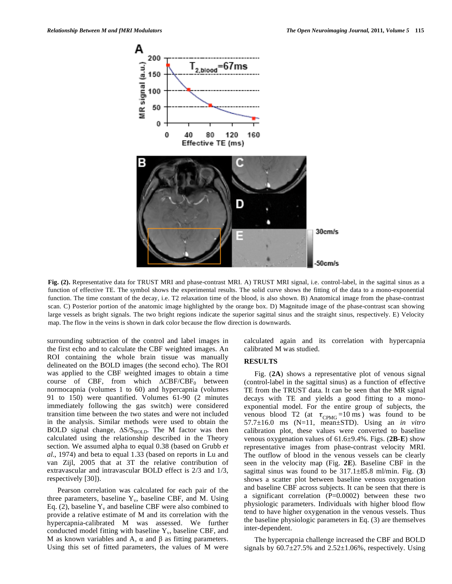

**Fig. (2).** Representative data for TRUST MRI and phase-contrast MRI. A) TRUST MRI signal, i.e. control-label, in the sagittal sinus as a function of effective TE. The symbol shows the experimental results. The solid curve shows the fitting of the data to a mono-exponential function. The time constant of the decay, i.e. T2 relaxation time of the blood, is also shown. B) Anatomical image from the phase-contrast scan. C) Posterior portion of the anatomic image highlighted by the orange box. D) Magnitude image of the phase-contrast scan showing large vessels as bright signals. The two bright regions indicate the superior sagittal sinus and the straight sinus, respectively. E) Velocity map. The flow in the veins is shown in dark color because the flow direction is downwards.

surrounding subtraction of the control and label images in the first echo and to calculate the CBF weighted images. An ROI containing the whole brain tissue was manually delineated on the BOLD images (the second echo). The ROI was applied to the CBF weighted images to obtain a time course of CBF, from which  $\triangle CBF/CBF_0$  between normocapnia (volumes 1 to 60) and hypercapnia (volumes 91 to 150) were quantified. Volumes 61-90 (2 minutes immediately following the gas switch) were considered transition time between the two states and were not included in the analysis. Similar methods were used to obtain the BOLD signal change,  $\Delta S/S_{BOLD}$ . The M factor was then calculated using the relationship described in the Theory section. We assumed alpha to equal 0.38 (based on Grubb *et al*., 1974) and beta to equal 1.33 (based on reports in Lu and van Zijl, 2005 that at 3T the relative contribution of extravascular and intravascular BOLD effect is 2/3 and 1/3, respectively [30]).

 Pearson correlation was calculated for each pair of the three parameters, baseline  $Y_v$ , baseline CBF, and M. Using Eq. (2), baseline  $Y_v$  and baseline CBF were also combined to provide a relative estimate of M and its correlation with the hypercapnia-calibrated M was assessed. We further conducted model fitting with baseline  $Y_{v}$ , baseline CBF, and M as known variables and A,  $\alpha$  and  $\beta$  as fitting parameters. Using this set of fitted parameters, the values of M were

calculated again and its correlation with hypercapnia calibrated M was studied.

#### **RESULTS**

 Fig. (**2A**) shows a representative plot of venous signal (control-label in the sagittal sinus) as a function of effective TE from the TRUST data. It can be seen that the MR signal decays with TE and yields a good fitting to a monoexponential model. For the entire group of subjects, the venous blood T2 (at  $\tau_{\text{CPMG}} = 10 \text{ ms}$ ) was found to be 57.7±16.0 ms (N=11, mean±STD). Using an *in vitro* calibration plot, these values were converted to baseline venous oxygenation values of 61.6±9.4%. Figs. (**2B-E**) show representative images from phase-contrast velocity MRI. The outflow of blood in the venous vessels can be clearly seen in the velocity map (Fig. **2E**). Baseline CBF in the sagittal sinus was found to be 317.1±85.8 ml/min. Fig. (**3**) shows a scatter plot between baseline venous oxygenation and baseline CBF across subjects. It can be seen that there is a significant correlation (P=0.0002) between these two physiologic parameters. Individuals with higher blood flow tend to have higher oxygenation in the venous vessels. Thus the baseline physiologic parameters in Eq. (3) are themselves inter-dependent.

 The hypercapnia challenge increased the CBF and BOLD signals by  $60.7 \pm 27.5\%$  and  $2.52 \pm 1.06\%$ , respectively. Using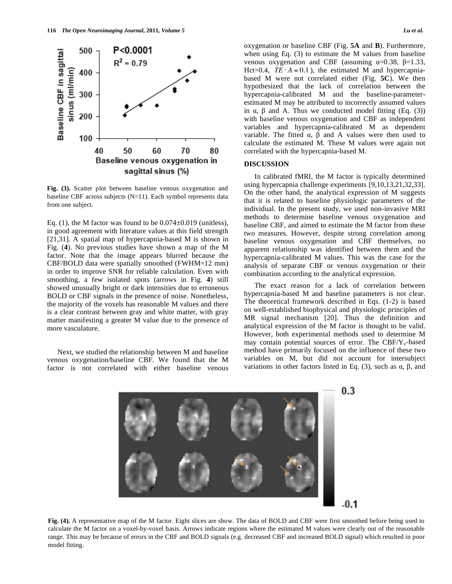

**Fig. (3).** Scatter plot between baseline venous oxygenation and baseline CBF across subjects (N=11). Each symbol represents data from one subject.

Eq. (1), the M factor was found to be  $0.074 \pm 0.019$  (unitless), in good agreement with literature values at this field strength [21,31]. A spatial map of hypercapnia-based M is shown in Fig. (**4**). No previous studies have shown a map of the M factor. Note that the image appears blurred because the CBF/BOLD data were spatially smoothed (FWHM=12 mm) in order to improve SNR for reliable calculation. Even with smoothing, a few isolated spots (arrows in Fig. **4**) still showed unusually bright or dark intensities due to erroneous BOLD or CBF signals in the presence of noise. Nonetheless, the majority of the voxels has reasonable M values and there is a clear contrast between gray and white matter, with gray matter manifesting a greater M value due to the presence of more vasculature.

 Next, we studied the relationship between M and baseline venous oxygenation/baseline CBF. We found that the M factor is not correlated with either baseline venous oxygenation or baseline CBF (Fig. **5A** and **B**). Furthermore, when using Eq. (3) to estimate the M values from baseline venous oxygenation and CBF (assuming  $\alpha=0.38$ ,  $\beta=1.33$ , Hct=0.4,  $TE \cdot A = 0.1$ ), the estimated M and hypercapniabased M were not correlated either (Fig. **5C**). We then hypothesized that the lack of correlation between the hypercapnia-calibrated M and the baseline-parameterestimated M may be attributed to incorrectly assumed values in  $\alpha$ ,  $\beta$  and A. Thus we conducted model fitting (Eq. (3)) with baseline venous oxygenation and CBF as independent variables and hypercapnia-calibrated M as dependent variable. The fitted  $\alpha$ ,  $\beta$  and A values were then used to calculate the estimated M. These M values were again not correlated with the hypercapnia-based M.

#### **DISCUSSION**

 In calibrated fMRI, the M factor is typically determined using hypercapnia challenge experiments [9,10,13,21,32,33]. On the other hand, the analytical expression of M suggests that it is related to baseline physiologic parameters of the individual. In the present study, we used non-invasive MRI methods to determine baseline venous oxygenation and baseline CBF, and aimed to estimate the M factor from these two measures. However, despite strong correlation among baseline venous oxygenation and CBF themselves, no apparent relationship was identified between them and the hypercapnia-calibrated M values. This was the case for the analysis of separate CBF or venous oxygenation or their combination according to the analytical expression.

 The exact reason for a lack of correlation between hypercapnia-based M and baseline parameters is not clear. The theoretical framework described in Eqs. (1-2) is based on well-established biophysical and physiologic principles of MR signal mechanism [20]. Thus the definition and analytical expression of the M factor is thought to be valid. However, both experimental methods used to determine M may contain potential sources of error. The  $CBF/Y_v$ -based method have primarily focused on the influence of these two variables on M, but did not account for intersubject variations in other factors listed in Eq. (3), such as  $\alpha$ ,  $\beta$ , and



**Fig. (4).** A representative map of the M factor. Eight slices are show. The data of BOLD and CBF were first smoothed before being used to calculate the M factor on a voxel-by-voxel basis. Arrows indicate regions where the estimated M values were clearly out of the reasonable range. This may be because of errors in the CBF and BOLD signals (e.g. decreased CBF and increased BOLD signal) which resulted in poor model fitting.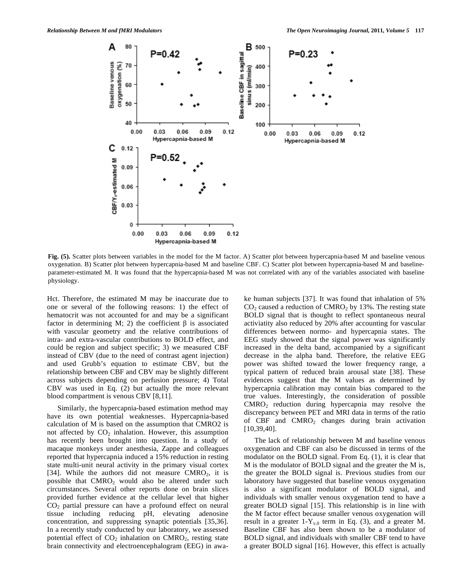

**Fig. (5).** Scatter plots between variables in the model for the M factor. A) Scatter plot between hypercapnia-based M and baseline venous oxygenation. B) Scatter plot between hypercapnia-based M and baseline CBF. C) Scatter plot between hypercapnia-based M and baselineparameter-estimated M. It was found that the hypercapnia-based M was not correlated with any of the variables associated with baseline physiology.

Hct. Therefore, the estimated M may be inaccurate due to one or several of the following reasons: 1) the effect of hematocrit was not accounted for and may be a significant factor in determining M; 2) the coefficient  $\beta$  is associated with vascular geometry and the relative contributions of intra- and extra-vascular contributions to BOLD effect, and could be region and subject specific; 3) we measured CBF instead of CBV (due to the need of contrast agent injection) and used Grubb's equation to estimate CBV, but the relationship between CBF and CBV may be slightly different across subjects depending on perfusion pressure; 4) Total CBV was used in Eq. (2) but actually the more relevant blood compartment is venous CBV [8,11].

 Similarly, the hypercapnia-based estimation method may have its own potential weaknesses. Hypercapnia-based calculation of M is based on the assumption that CMRO2 is not affected by  $CO<sub>2</sub>$  inhalation. However, this assumption has recently been brought into question. In a study of macaque monkeys under anesthesia, Zappe and colleagues reported that hypercapnia induced a 15% reduction in resting state multi-unit neural activity in the primary visual cortex [34]. While the authors did not measure CMRO<sub>2</sub>, it is possible that  $CMRO<sub>2</sub>$  would also be altered under such circumstances. Several other reports done on brain slices provided further evidence at the cellular level that higher  $CO<sub>2</sub>$  partial pressure can have a profound effect on neural tissue including reducing pH, elevating adenosine concentration, and suppressing synaptic potentials [35,36]. In a recently study conducted by our laboratory, we assessed potential effect of  $CO<sub>2</sub>$  inhalation on  $CMRO<sub>2</sub>$ , resting state brain connectivity and electroencephalogram (EEG) in awake human subjects [37]. It was found that inhalation of 5%  $CO<sub>2</sub>$  caused a reduction of CMRO<sub>2</sub> by 13%. The resting state BOLD signal that is thought to reflect spontaneous neural activiatity also reduced by 20% after accounting for vascular differences between normo- and hypercapnia states. The EEG study showed that the signal power was significantly increased in the delta band, accompanied by a significant decrease in the alpha band. Therefore, the relative EEG power was shifted toward the lower frequency range, a typical pattern of reduced brain arousal state [38]. These evidences suggest that the M values as determined by hypercapnia calibration may contain bias compared to the true values. Interestingly, the consideration of possible CMRO2 reduction during hypercapnia may resolve the discrepancy between PET and MRI data in terms of the ratio of CBF and  $CMRO<sub>2</sub>$  changes during brain activation [10,39,40].

 The lack of relationship between M and baseline venous oxygenation and CBF can also be discussed in terms of the modulator on the BOLD signal. From Eq. (1), it is clear that M is the modulator of BOLD signal and the greater the M is, the greater the BOLD signal is. Previous studies from our laboratory have suggested that baseline venous oxygenation is also a significant modulator of BOLD signal, and individuals with smaller venous oxygenation tend to have a greater BOLD signal [15]. This relationship is in line with the M factor effect because smaller venous oxygenation will result in a greater  $1-Y_{v,0}$  term in Eq. (3), and a greater M. Baseline CBF has also been shown to be a modulator of BOLD signal, and individuals with smaller CBF tend to have a greater BOLD signal [16]. However, this effect is actually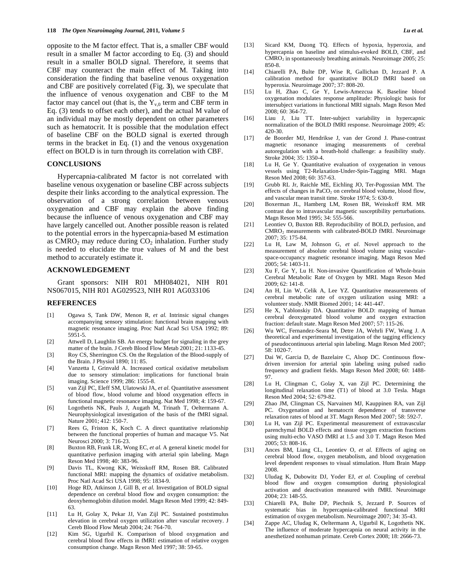opposite to the M factor effect. That is, a smaller CBF would result in a smaller M factor according to Eq. (3) and should result in a smaller BOLD signal. Therefore, it seems that CBF may counteract the main effect of M. Taking into consideration the finding that baseline venous oxygenation and CBF are positively correlated (Fig. **3**), we speculate that the influence of venous oxygenation and CBF to the M factor may cancel out (that is, the  $Y_{v,0}$  term and CBF term in Eq. (3) tends to offset each other), and the actual M value of an individual may be mostly dependent on other parameters such as hematocrit. It is possible that the modulation effect of baseline CBF on the BOLD signal is exerted through terms in the bracket in Eq. (1) and the venous oxygenation effect on BOLD is in turn through its correlation with CBF.

#### **CONCLUSIONS**

 Hypercapnia-calibrated M factor is not correlated with baseline venous oxygenation or baseline CBF across subjects despite their links according to the analytical expression. The observation of a strong correlation between venous oxygenation and CBF may explain the above finding because the influence of venous oxygenation and CBF may have largely cancelled out. Another possible reason is related to the potential errors in the hypercapnia-based M estimation as  $CMRO<sub>2</sub>$  may reduce during  $CO<sub>2</sub>$  inhalation. Further study is needed to elucidate the true values of M and the best method to accurately estimate it.

#### **ACKNOWLEDGEMENT**

 Grant sponsors: NIH R01 MH084021, NIH R01 NS067015, NIH R01 AG029523, NIH R01 AG033106

#### **REFERENCES**

- [1] Ogawa S, Tank DW, Menon R*, et al.* Intrinsic signal changes accompanying sensory stimulation: functional brain mapping with magnetic resonance imaging. Proc Natl Acad Sci USA 1992; 89: 5951-5.
- [2] Attwell D, Laughlin SB. An energy budget for signaling in the grey matter of the brain. J Cereb Blood Flow Metab 2001; 21: 1133-45.
- [3] Roy CS, Sherrington CS. On the Regulation of the Blood-supply of the Brain. J Physiol 1890; 11: 85.
- [4] Vanzetta I, Grinvald A. Increased cortical oxidative metabolism due to sensory stimulation: implications for functional brain imaging. Science 1999; 286: 1555-8.
- [5] van Zijl PC, Eleff SM, Ulatowski JA*, et al.* Quantitative assessment of blood flow, blood volume and blood oxygenation effects in functional magnetic resonance imaging. Nat Med 1998; 4: 159-67.
- [6] Logothetis NK, Pauls J, Augath M, Trinath T, Oeltermann A. Neurophysiological investigation of the basis of the fMRI signal. Nature 2001; 412: 150-7.
- [7] Rees G, Friston K, Koch C. A direct quantitative relationship between the functional properties of human and macaque V5. Nat Neurosci 2000; 3: 716-23.
- [8] Buxton RB, Frank LR, Wong EC*, et al.* A general kinetic model for quantitative perfusion imaging with arterial spin labeling. Magn Reson Med 1998; 40: 383-96.
- [9] Davis TL, Kwong KK, Weisskoff RM, Rosen BR. Calibrated functional MRI: mapping the dynamics of oxidative metabolism. Proc Natl Acad Sci USA 1998; 95: 1834-9.
- [10] Hoge RD, Atkinson J, Gill B*, et al.* Investigation of BOLD signal dependence on cerebral blood flow and oxygen consumption: the deoxyhemoglobin dilution model. Magn Reson Med 1999; 42: 849- 63.
- [11] Lu H, Golay X, Pekar JJ, Van Zijl PC. Sustained poststimulus elevation in cerebral oxygen utilization after vascular recovery. J Cereb Blood Flow Metab 2004; 24: 764-70.
- [12] Kim SG, Ugurbil K. Comparison of blood oxygenation and cerebral blood flow effects in fMRI: estimation of relative oxygen consumption change. Magn Reson Med 1997; 38: 59-65.
- [13] Sicard KM, Duong TQ. Effects of hypoxia, hyperoxia, and hypercapnia on baseline and stimulus-evoked BOLD, CBF, and  $CMRO<sub>2</sub>$  in spontaneously breathing animals. Neuroimage  $2005$ ;  $25$ : 850-8.
- [14] Chiarelli PA, Bulte DP, Wise R, Gallichan D, Jezzard P. A calibration method for quantitative BOLD fMRI based on hyperoxia. Neuroimage 2007; 37: 808-20.
- [15] Lu H, Zhao C, Ge Y, Lewis-Amezcua K. Baseline blood oxygenation modulates response amplitude: Physiologic basis for intersubject variations in functional MRI signals. Magn Reson Med 2008; 60: 364-72.
- [16] Liau J, Liu TT. Inter-subject variability in hypercapnic normalization of the BOLD fMRI response. Neuroimage 2009; 45: 420-30.
- [17] de Boorder MJ, Hendrikse J, van der Grond J. Phase-contrast magnetic resonance imaging measurements of cerebral autoregulation with a breath-hold challenge: a feasibility study. Stroke 2004; 35: 1350-4.
- [18] Lu H, Ge Y. Quantitative evaluation of oxygenation in venous vessels using T2-Relaxation-Under-Spin-Tagging MRI. Magn Reson Med 2008; 60: 357-63.
- [19] Grubb RL Jr, Raichle ME, Eichling JO, Ter-Pogossian MM. The effects of changes in  $PaCO<sub>2</sub>$  on cerebral blood volume, blood flow, and vascular mean transit time. Stroke 1974; 5: 630-9.
- [20] Boxerman JL, Hamberg LM, Rosen BR, Weisskoff RM. MR contrast due to intravascular magnetic susceptibility perturbations. Magn Reson Med 1995; 34: 555-566.
- [21] Leontiev O, Buxton RB. Reproducibility of BOLD, perfusion, and CMRO2 measurements with calibrated-BOLD fMRI. Neuroimage 2007; 35: 175-84.
- [22] Lu H, Law M, Johnson G*, et al.* Novel approach to the measurement of absolute cerebral blood volume using vascularspace-occupancy magnetic resonance imaging. Magn Reson Med 2005; 54: 1403-11.
- [23] Xu F, Ge Y, Lu H. Non-invasive Quantification of Whole-brain Cerebral Metabolic Rate of Oxygen by MRI. Magn Reson Med 2009; 62: 141-8.
- [24] An H, Lin W, Celik A, Lee YZ. Quantitative measurements of cerebral metabolic rate of oxygen utilization using MRI: a volunteer study. NMR Biomed 2001; 14: 441-447.
- [25] He X, Yablonskiy DA. Quantitative BOLD: mapping of human cerebral deoxygenated blood volume and oxygen extraction fraction: default state. Magn Reson Med 2007; 57: 115-26.
- [26] Wu WC, Fernandez-Seara M, Detre JA, Wehrli FW, Wang J. A theoretical and experimental investigation of the tagging efficiency of pseudocontinuous arterial spin labeling. Magn Reson Med 2007; 58: 1020-7.
- [27] Dai W, Garcia D, de Bazelaire C, Alsop DC. Continuous flowdriven inversion for arterial spin labeling using pulsed radio frequency and gradient fields. Magn Reson Med 2008; 60: 1488- 97.
- [28] Lu H, Clingman C, Golay X, van Zijl PC. Determining the longitudinal relaxation time (T1) of blood at 3.0 Tesla. Magn Reson Med 2004; 52: 679-82.
- [29] Zhao JM, Clingman CS, Narvainen MJ, Kauppinen RA, van Zijl PC. Oxygenation and hematocrit dependence of transverse relaxation rates of blood at 3T. Magn Reson Med 2007; 58: 592-7.
- [30] Lu H, van Zijl PC. Experimental measurement of extravascular parenchymal BOLD effects and tissue oxygen extraction fractions using multi-echo VASO fMRI at 1.5 and 3.0 T. Magn Reson Med 2005; 53: 808-16.
- [31] Ances BM, Liang CL, Leontiev O*, et al.* Effects of aging on cerebral blood flow, oxygen metabolism, and blood oxygenation level dependent responses to visual stimulation. Hum Brain Mapp 2008.
- [32] Uludag K, Dubowitz DJ, Yoder EJ*, et al.* Coupling of cerebral blood flow and oxygen consumption during physiological activation and deactivation measured with fMRI. Neuroimage 2004; 23: 148-55.
- [33] Chiarelli PA, Bulte DP, Piechnik S, Jezzard P. Sources of systematic bias in hypercapnia-calibrated functional MRI estimation of oxygen metabolism. Neuroimage 2007; 34: 35-43.
- [34] Zappe AC, Uludag K, Oeltermann A, Ugurbil K, Logothetis NK. The influence of moderate hypercapnia on neural activity in the anesthetized nonhuman primate. Cereb Cortex 2008; 18: 2666-73.